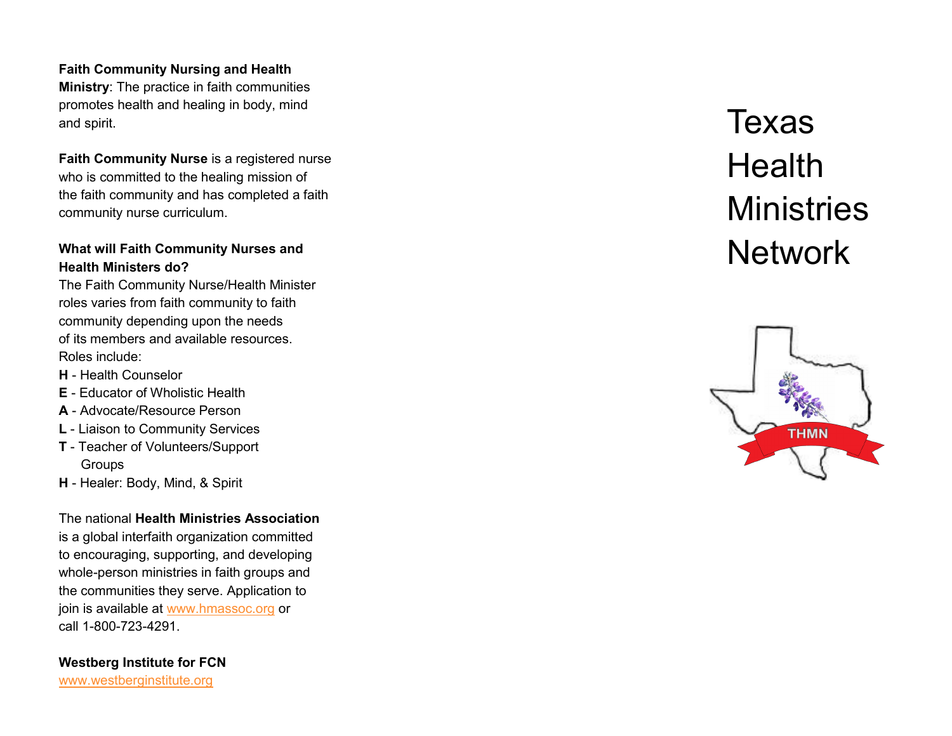## **Faith Community Nursing and Health**

**Ministry**: The practice in faith communities promotes health and healing in body, mind and spirit.

**Faith Community Nurse** is a registered nurse who is committed to the healing mission of the faith community and has completed a faith community nurse curriculum.

# **What will Faith Community Nurses and Health Ministers do?**

The Faith Community Nurse/Health Minister roles varies from faith community to faith community depending upon the needs of its members and available resources. Roles include:

- **H**  Health Counselor
- **E** Educator of Wholistic Health
- **A** Advocate/Resource Person
- **L** Liaison to Community Services
- **T**  Teacher of Volunteers/Support **Groups**
- **H**  Healer: Body, Mind, & Spirit

The national **Health Ministries Association**  is a global interfaith organization committed to encouraging, supporting, and developing whole -person ministries in faith groups and the communities they serve. Application to join is available at [www.hmassoc.org](http://www.hmassoc.org) or call 1 -800 -723 -4291.

**Westberg Institute for FCN**  [www.westberginstitute.org](http://www.westberginstitute.org)

# Texas **Health Ministries Network**